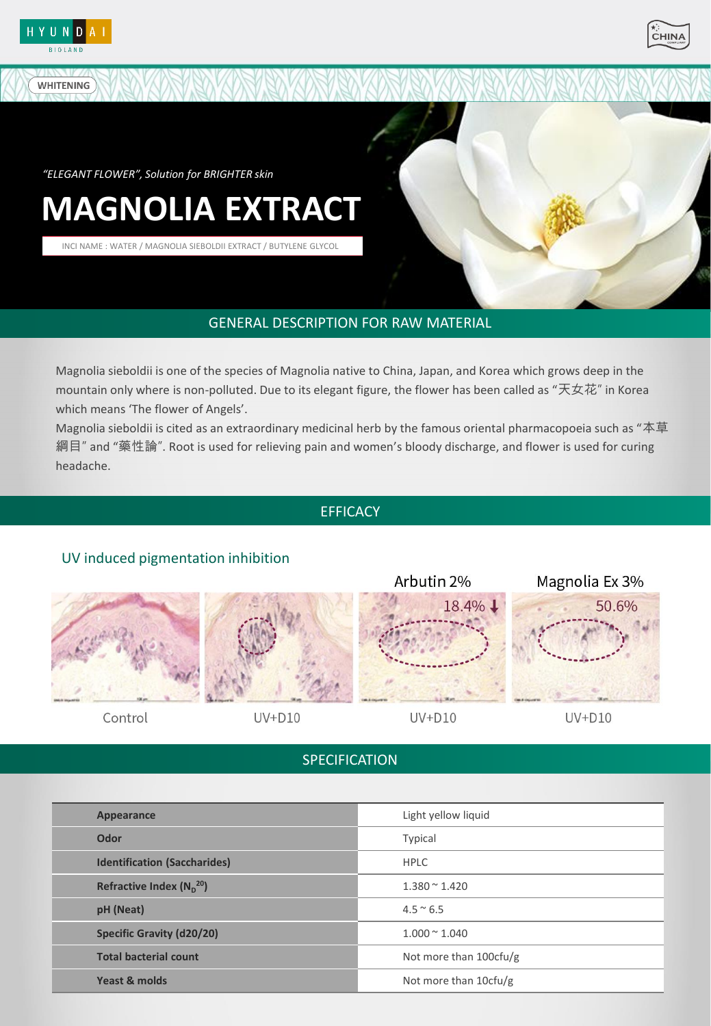

**WHITENING** 



*"ELEGANT FLOWER", Solution for BRIGHTER skin*

# **MAGNOLIA EXTRACT**

INCI NAME : WATER / MAGNOLIA SIEBOLDII EXTRACT / BUTYLENE GLYCOL

# GENERAL DESCRIPTION FOR RAW MATERIAL

Magnolia sieboldii is one of the species of Magnolia native to China, Japan, and Korea which grows deep in the mountain only where is non-polluted. Due to its elegant figure, the flower has been called as "天女花" in Korea which means 'The flower of Angels'.

Magnolia sieboldii is cited as an extraordinary medicinal herb by the famous oriental pharmacopoeia such as "本草 綱目" and "藥性論". Root is used for relieving pain and women's bloody discharge, and flower is used for curing headache.

## **EFFICACY**

# UV induced pigmentation inhibition



Control



 $UV+D10$ 

 $UV+D10$ 

Arbutin 2%

18.4%↓

 $UV+D10$ 

Magnolia Ex 3%

50.6%

# **SPECIFICATION**

| Appearance                          | Light yellow liquid     |
|-------------------------------------|-------------------------|
| Odor                                | Typical                 |
| <b>Identification (Saccharides)</b> | <b>HPLC</b>             |
| Refractive Index $(N_n^{20})$       | $1.380 \approx 1.420$   |
| pH (Neat)                           | $4.5 \approx 6.5$       |
| <b>Specific Gravity (d20/20)</b>    | $1.000 \times 1.040$    |
| <b>Total bacterial count</b>        | Not more than 100cfu/g  |
| Yeast & molds                       | Not more than $10f(u)g$ |